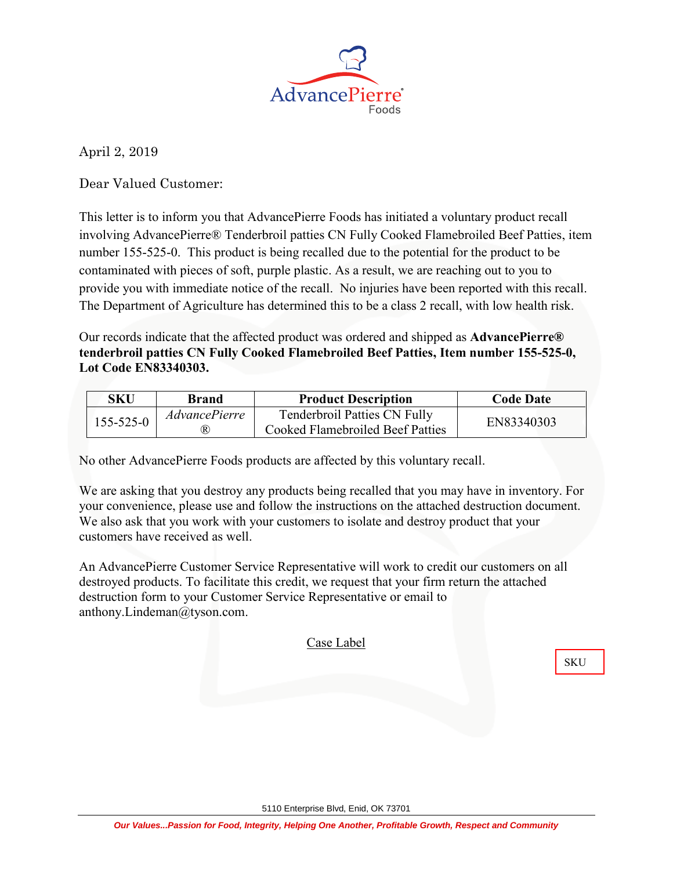

April 2, 2019

Dear Valued Customer:

This letter is to inform you that AdvancePierre Foods has initiated a voluntary product recall involving AdvancePierre® Tenderbroil patties CN Fully Cooked Flamebroiled Beef Patties, item number 155-525-0. This product is being recalled due to the potential for the product to be contaminated with pieces of soft, purple plastic. As a result, we are reaching out to you to provide you with immediate notice of the recall. No injuries have been reported with this recall. The Department of Agriculture has determined this to be a class 2 recall, with low health risk.

Our records indicate that the affected product was ordered and shipped as **AdvancePierre® tenderbroil patties CN Fully Cooked Flamebroiled Beef Patties, Item number 155-525-0, Lot Code EN83340303.**

| SKU             | <b>Brand</b>                | <b>Product Description</b>                                       | <b>Code Date</b> |  |
|-----------------|-----------------------------|------------------------------------------------------------------|------------------|--|
| $155 - 525 - 0$ | <i>AdvancePierre</i><br>(R) | Tenderbroil Patties CN Fully<br>Cooked Flamebroiled Beef Patties | EN83340303       |  |

No other AdvancePierre Foods products are affected by this voluntary recall.

We are asking that you destroy any products being recalled that you may have in inventory. For your convenience, please use and follow the instructions on the attached destruction document. We also ask that you work with your customers to isolate and destroy product that your customers have received as well.

An AdvancePierre Customer Service Representative will work to credit our customers on all destroyed products. To facilitate this credit, we request that your firm return the attached destruction form to your Customer Service Representative or email to anthony.Lindeman@tyson.com.

Case Label

**SKU**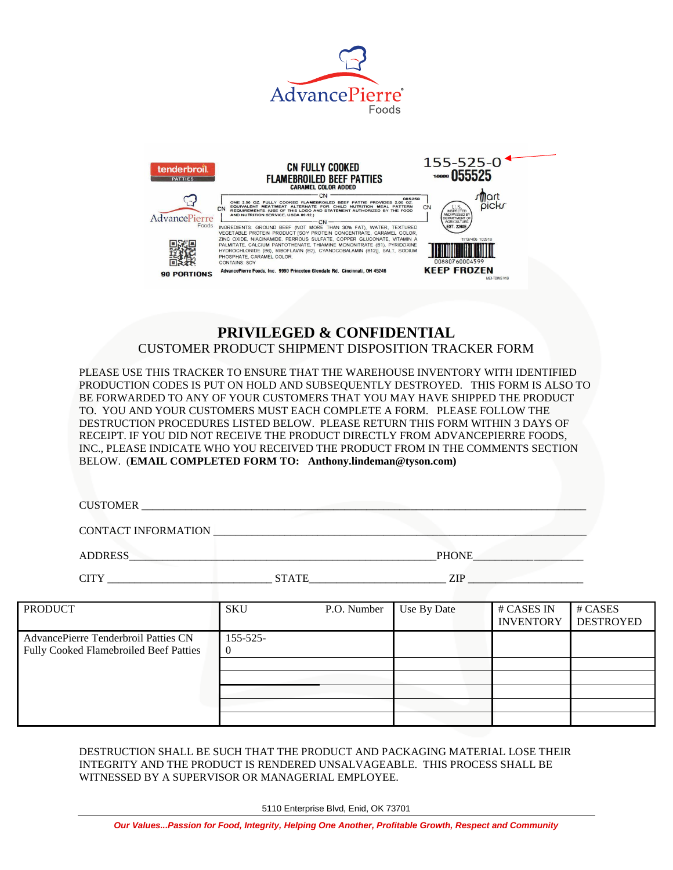



## **PRIVILEGED & CONFIDENTIAL** CUSTOMER PRODUCT SHIPMENT DISPOSITION TRACKER FORM

PLEASE USE THIS TRACKER TO ENSURE THAT THE WAREHOUSE INVENTORY WITH IDENTIFIED PRODUCTION CODES IS PUT ON HOLD AND SUBSEQUENTLY DESTROYED. THIS FORM IS ALSO TO BE FORWARDED TO ANY OF YOUR CUSTOMERS THAT YOU MAY HAVE SHIPPED THE PRODUCT TO. YOU AND YOUR CUSTOMERS MUST EACH COMPLETE A FORM. PLEASE FOLLOW THE DESTRUCTION PROCEDURES LISTED BELOW. PLEASE RETURN THIS FORM WITHIN 3 DAYS OF RECEIPT. IF YOU DID NOT RECEIVE THE PRODUCT DIRECTLY FROM ADVANCEPIERRE FOODS, INC., PLEASE INDICATE WHO YOU RECEIVED THE PRODUCT FROM IN THE COMMENTS SECTION BELOW. (**EMAIL COMPLETED FORM TO: Anthony.lindeman@tyson.com)**

CUSTOMER

CONTACT INFORMATION \_\_\_\_\_\_\_\_\_\_\_\_\_\_\_\_\_\_\_\_\_\_\_\_\_\_\_\_\_\_\_\_\_\_\_\_\_\_\_\_\_\_\_\_\_\_\_\_\_\_\_\_\_\_\_\_\_\_\_\_\_\_\_\_\_\_\_\_

ADDRESS PHONE

CITY EXERCITY STATE STATE  $\overline{C}$ 

| <b>PRODUCT</b>                         | SKU           | P.O. Number | Use By Date | # CASES IN       | # CASES          |
|----------------------------------------|---------------|-------------|-------------|------------------|------------------|
|                                        |               |             |             | <b>INVENTORY</b> | <b>DESTROYED</b> |
|                                        |               |             |             |                  |                  |
| AdvancePierre Tenderbroil Patties CN   | $155 - 525 -$ |             |             |                  |                  |
| Fully Cooked Flamebroiled Beef Patties |               |             |             |                  |                  |
|                                        |               |             |             |                  |                  |
|                                        |               |             |             |                  |                  |
|                                        |               |             |             |                  |                  |
|                                        |               |             |             |                  |                  |
|                                        |               |             |             |                  |                  |
|                                        |               |             |             |                  |                  |

DESTRUCTION SHALL BE SUCH THAT THE PRODUCT AND PACKAGING MATERIAL LOSE THEIR INTEGRITY AND THE PRODUCT IS RENDERED UNSALVAGEABLE. THIS PROCESS SHALL BE WITNESSED BY A SUPERVISOR OR MANAGERIAL EMPLOYEE.

5110 Enterprise Blvd, Enid, OK 73701